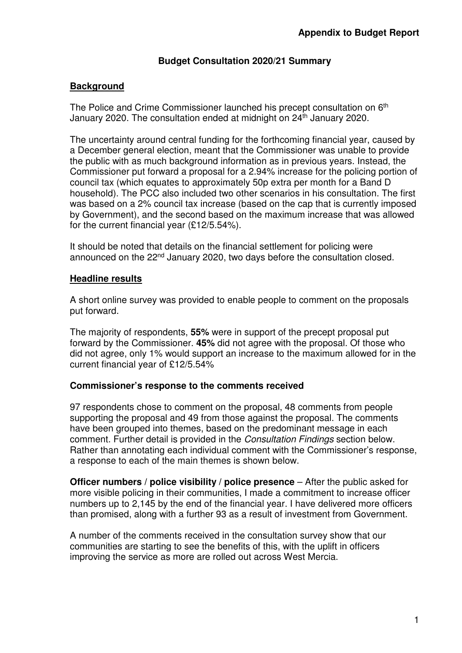# **Budget Consultation 2020/21 Summary**

## **Background**

The Police and Crime Commissioner launched his precept consultation on 6<sup>th</sup> January 2020. The consultation ended at midnight on 24<sup>th</sup> January 2020.

The uncertainty around central funding for the forthcoming financial year, caused by a December general election, meant that the Commissioner was unable to provide the public with as much background information as in previous years. Instead, the Commissioner put forward a proposal for a 2.94% increase for the policing portion of council tax (which equates to approximately 50p extra per month for a Band D household). The PCC also included two other scenarios in his consultation. The first was based on a 2% council tax increase (based on the cap that is currently imposed by Government), and the second based on the maximum increase that was allowed for the current financial year (£12/5.54%).

It should be noted that details on the financial settlement for policing were announced on the 22<sup>nd</sup> January 2020, two days before the consultation closed.

## **Headline results**

A short online survey was provided to enable people to comment on the proposals put forward.

The majority of respondents, **55%** were in support of the precept proposal put forward by the Commissioner. **45%** did not agree with the proposal. Of those who did not agree, only 1% would support an increase to the maximum allowed for in the current financial year of £12/5.54%

## **Commissioner's response to the comments received**

97 respondents chose to comment on the proposal, 48 comments from people supporting the proposal and 49 from those against the proposal. The comments have been grouped into themes, based on the predominant message in each comment. Further detail is provided in the Consultation Findings section below. Rather than annotating each individual comment with the Commissioner's response, a response to each of the main themes is shown below.

**Officer numbers / police visibility / police presence** – After the public asked for more visible policing in their communities, I made a commitment to increase officer numbers up to 2,145 by the end of the financial year. I have delivered more officers than promised, along with a further 93 as a result of investment from Government.

A number of the comments received in the consultation survey show that our communities are starting to see the benefits of this, with the uplift in officers improving the service as more are rolled out across West Mercia.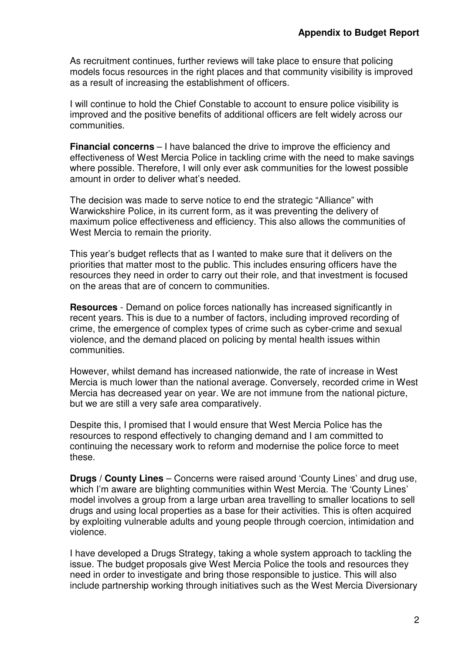As recruitment continues, further reviews will take place to ensure that policing models focus resources in the right places and that community visibility is improved as a result of increasing the establishment of officers.

I will continue to hold the Chief Constable to account to ensure police visibility is improved and the positive benefits of additional officers are felt widely across our communities.

**Financial concerns** – I have balanced the drive to improve the efficiency and effectiveness of West Mercia Police in tackling crime with the need to make savings where possible. Therefore, I will only ever ask communities for the lowest possible amount in order to deliver what's needed.

The decision was made to serve notice to end the strategic "Alliance" with Warwickshire Police, in its current form, as it was preventing the delivery of maximum police effectiveness and efficiency. This also allows the communities of West Mercia to remain the priority.

This year's budget reflects that as I wanted to make sure that it delivers on the priorities that matter most to the public. This includes ensuring officers have the resources they need in order to carry out their role, and that investment is focused on the areas that are of concern to communities.

**Resources** - Demand on police forces nationally has increased significantly in recent years. This is due to a number of factors, including improved recording of crime, the emergence of complex types of crime such as cyber-crime and sexual violence, and the demand placed on policing by mental health issues within communities.

However, whilst demand has increased nationwide, the rate of increase in West Mercia is much lower than the national average. Conversely, recorded crime in West Mercia has decreased year on year. We are not immune from the national picture, but we are still a very safe area comparatively.

Despite this, I promised that I would ensure that West Mercia Police has the resources to respond effectively to changing demand and I am committed to continuing the necessary work to reform and modernise the police force to meet these.

**Drugs / County Lines** – Concerns were raised around 'County Lines' and drug use, which I'm aware are blighting communities within West Mercia. The 'County Lines' model involves a group from a large urban area travelling to smaller locations to sell drugs and using local properties as a base for their activities. This is often acquired by exploiting vulnerable adults and young people through coercion, intimidation and violence.

I have developed a Drugs Strategy, taking a whole system approach to tackling the issue. The budget proposals give West Mercia Police the tools and resources they need in order to investigate and bring those responsible to justice. This will also include partnership working through initiatives such as the West Mercia Diversionary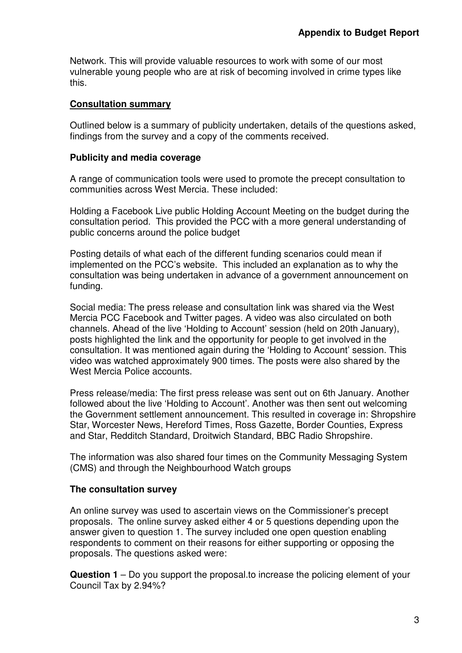Network. This will provide valuable resources to work with some of our most vulnerable young people who are at risk of becoming involved in crime types like this.

## **Consultation summary**

Outlined below is a summary of publicity undertaken, details of the questions asked, findings from the survey and a copy of the comments received.

## **Publicity and media coverage**

A range of communication tools were used to promote the precept consultation to communities across West Mercia. These included:

Holding a Facebook Live public Holding Account Meeting on the budget during the consultation period. This provided the PCC with a more general understanding of public concerns around the police budget

Posting details of what each of the different funding scenarios could mean if implemented on the PCC's website. This included an explanation as to why the consultation was being undertaken in advance of a government announcement on funding.

Social media: The press release and consultation link was shared via the West Mercia PCC Facebook and Twitter pages. A video was also circulated on both channels. Ahead of the live 'Holding to Account' session (held on 20th January), posts highlighted the link and the opportunity for people to get involved in the consultation. It was mentioned again during the 'Holding to Account' session. This video was watched approximately 900 times. The posts were also shared by the West Mercia Police accounts.

Press release/media: The first press release was sent out on 6th January. Another followed about the live 'Holding to Account'. Another was then sent out welcoming the Government settlement announcement. This resulted in coverage in: Shropshire Star, Worcester News, Hereford Times, Ross Gazette, Border Counties, Express and Star, Redditch Standard, Droitwich Standard, BBC Radio Shropshire.

The information was also shared four times on the Community Messaging System (CMS) and through the Neighbourhood Watch groups

## **The consultation survey**

An online survey was used to ascertain views on the Commissioner's precept proposals. The online survey asked either 4 or 5 questions depending upon the answer given to question 1. The survey included one open question enabling respondents to comment on their reasons for either supporting or opposing the proposals. The questions asked were:

**Question 1** – Do you support the proposal.to increase the policing element of your Council Tax by 2.94%?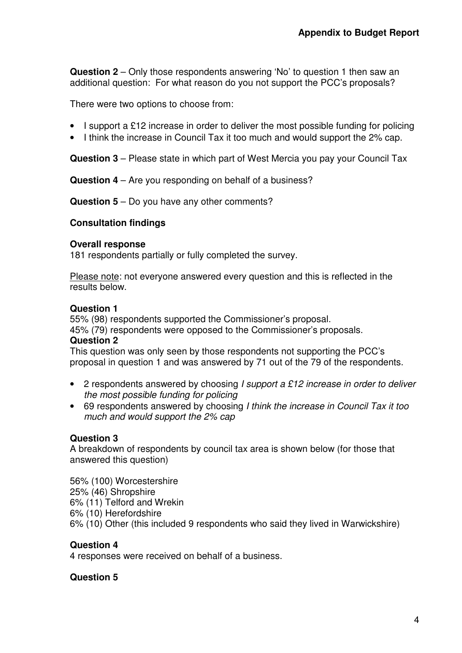**Question 2** – Only those respondents answering 'No' to question 1 then saw an additional question: For what reason do you not support the PCC's proposals?

There were two options to choose from:

- I support a £12 increase in order to deliver the most possible funding for policing
- I think the increase in Council Tax it too much and would support the 2% cap.

**Question 3** – Please state in which part of West Mercia you pay your Council Tax

**Question 4** – Are you responding on behalf of a business?

**Question 5** – Do you have any other comments?

## **Consultation findings**

#### **Overall response**

181 respondents partially or fully completed the survey.

Please note: not everyone answered every question and this is reflected in the results below.

### **Question 1**

55% (98) respondents supported the Commissioner's proposal. 45% (79) respondents were opposed to the Commissioner's proposals.

#### **Question 2**

This question was only seen by those respondents not supporting the PCC's proposal in question 1 and was answered by 71 out of the 79 of the respondents.

- 2 respondents answered by choosing I support a £12 increase in order to deliver the most possible funding for policing
- 69 respondents answered by choosing I think the increase in Council Tax it too much and would support the 2% cap

## **Question 3**

A breakdown of respondents by council tax area is shown below (for those that answered this question)

56% (100) Worcestershire 25% (46) Shropshire 6% (11) Telford and Wrekin 6% (10) Herefordshire 6% (10) Other (this included 9 respondents who said they lived in Warwickshire)

## **Question 4**

4 responses were received on behalf of a business.

## **Question 5**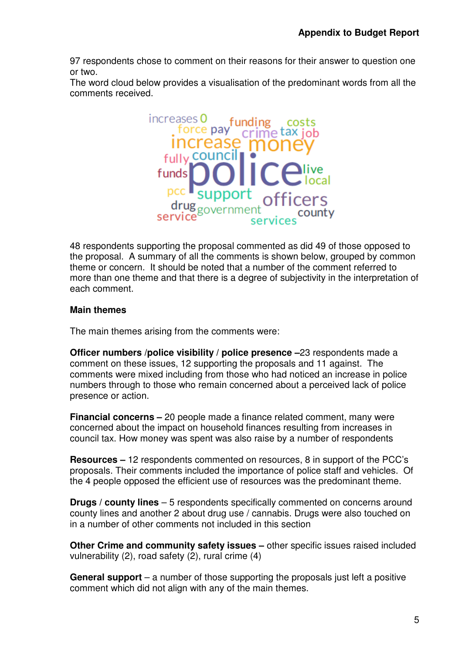97 respondents chose to comment on their reasons for their answer to question one or two.

The word cloud below provides a visualisation of the predominant words from all the comments received.



48 respondents supporting the proposal commented as did 49 of those opposed to the proposal. A summary of all the comments is shown below, grouped by common theme or concern. It should be noted that a number of the comment referred to more than one theme and that there is a degree of subjectivity in the interpretation of each comment.

## **Main themes**

The main themes arising from the comments were:

**Officer numbers /police visibility / police presence –**23 respondents made a comment on these issues, 12 supporting the proposals and 11 against. The comments were mixed including from those who had noticed an increase in police numbers through to those who remain concerned about a perceived lack of police presence or action.

**Financial concerns –** 20 people made a finance related comment, many were concerned about the impact on household finances resulting from increases in council tax. How money was spent was also raise by a number of respondents

**Resources –** 12 respondents commented on resources, 8 in support of the PCC's proposals. Their comments included the importance of police staff and vehicles. Of the 4 people opposed the efficient use of resources was the predominant theme.

**Drugs / county lines** – 5 respondents specifically commented on concerns around county lines and another 2 about drug use / cannabis. Drugs were also touched on in a number of other comments not included in this section

**Other Crime and community safety issues –** other specific issues raised included vulnerability (2), road safety (2), rural crime (4)

**General support** – a number of those supporting the proposals just left a positive comment which did not align with any of the main themes.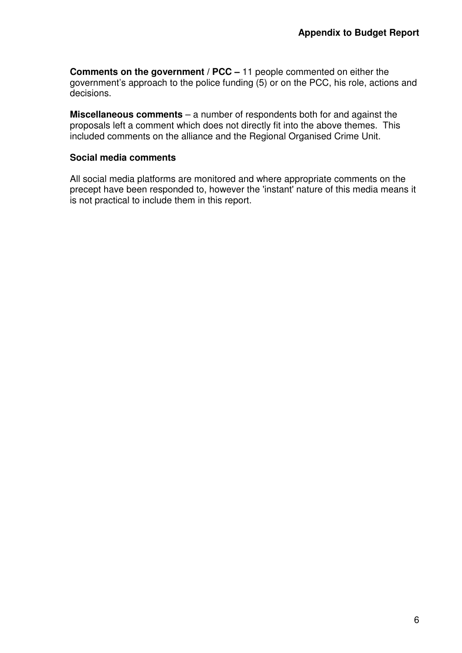**Comments on the government / PCC –** 11 people commented on either the government's approach to the police funding (5) or on the PCC, his role, actions and decisions.

**Miscellaneous comments** – a number of respondents both for and against the proposals left a comment which does not directly fit into the above themes. This included comments on the alliance and the Regional Organised Crime Unit.

## **Social media comments**

All social media platforms are monitored and where appropriate comments on the precept have been responded to, however the 'instant' nature of this media means it is not practical to include them in this report.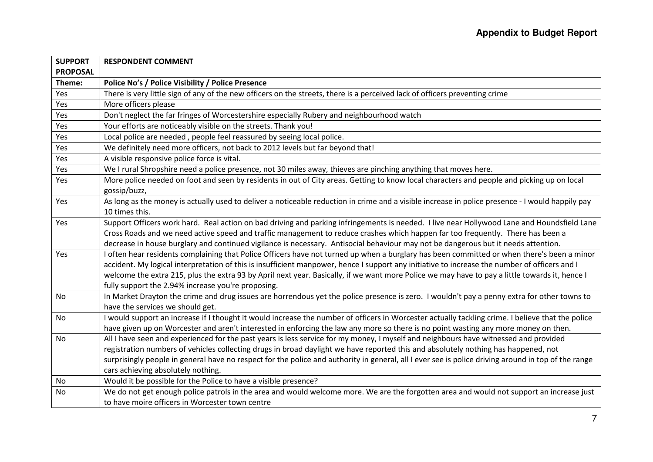| <b>SUPPORT</b>  | <b>RESPONDENT COMMENT</b>                                                                                                                                                                                                                                                                                                                                                                                                                                                                           |
|-----------------|-----------------------------------------------------------------------------------------------------------------------------------------------------------------------------------------------------------------------------------------------------------------------------------------------------------------------------------------------------------------------------------------------------------------------------------------------------------------------------------------------------|
| <b>PROPOSAL</b> |                                                                                                                                                                                                                                                                                                                                                                                                                                                                                                     |
| Theme:          | Police No's / Police Visibility / Police Presence                                                                                                                                                                                                                                                                                                                                                                                                                                                   |
| Yes             | There is very little sign of any of the new officers on the streets, there is a perceived lack of officers preventing crime                                                                                                                                                                                                                                                                                                                                                                         |
| Yes             | More officers please                                                                                                                                                                                                                                                                                                                                                                                                                                                                                |
| Yes             | Don't neglect the far fringes of Worcestershire especially Rubery and neighbourhood watch                                                                                                                                                                                                                                                                                                                                                                                                           |
| Yes             | Your efforts are noticeably visible on the streets. Thank you!                                                                                                                                                                                                                                                                                                                                                                                                                                      |
| Yes             | Local police are needed, people feel reassured by seeing local police.                                                                                                                                                                                                                                                                                                                                                                                                                              |
| Yes             | We definitely need more officers, not back to 2012 levels but far beyond that!                                                                                                                                                                                                                                                                                                                                                                                                                      |
| Yes             | A visible responsive police force is vital.                                                                                                                                                                                                                                                                                                                                                                                                                                                         |
| Yes             | We I rural Shropshire need a police presence, not 30 miles away, thieves are pinching anything that moves here.                                                                                                                                                                                                                                                                                                                                                                                     |
| Yes             | More police needed on foot and seen by residents in out of City areas. Getting to know local characters and people and picking up on local<br>gossip/buzz,                                                                                                                                                                                                                                                                                                                                          |
| Yes             | As long as the money is actually used to deliver a noticeable reduction in crime and a visible increase in police presence - I would happily pay<br>10 times this.                                                                                                                                                                                                                                                                                                                                  |
| Yes             | Support Officers work hard. Real action on bad driving and parking infringements is needed. I live near Hollywood Lane and Houndsfield Lane<br>Cross Roads and we need active speed and traffic management to reduce crashes which happen far too frequently. There has been a<br>decrease in house burglary and continued vigilance is necessary. Antisocial behaviour may not be dangerous but it needs attention.                                                                                |
| Yes             | I often hear residents complaining that Police Officers have not turned up when a burglary has been committed or when there's been a minor<br>accident. My logical interpretation of this is insufficient manpower, hence I support any initiative to increase the number of officers and I<br>welcome the extra 215, plus the extra 93 by April next year. Basically, if we want more Police we may have to pay a little towards it, hence I<br>fully support the 2.94% increase you're proposing. |
| No              | In Market Drayton the crime and drug issues are horrendous yet the police presence is zero. I wouldn't pay a penny extra for other towns to<br>have the services we should get.                                                                                                                                                                                                                                                                                                                     |
| <b>No</b>       | I would support an increase if I thought it would increase the number of officers in Worcester actually tackling crime. I believe that the police<br>have given up on Worcester and aren't interested in enforcing the law any more so there is no point wasting any more money on then.                                                                                                                                                                                                            |
| <b>No</b>       | All I have seen and experienced for the past years is less service for my money, I myself and neighbours have witnessed and provided<br>registration numbers of vehicles collecting drugs in broad daylight we have reported this and absolutely nothing has happened, not<br>surprisingly people in general have no respect for the police and authority in general, all I ever see is police driving around in top of the range<br>cars achieving absolutely nothing.                             |
| No              | Would it be possible for the Police to have a visible presence?                                                                                                                                                                                                                                                                                                                                                                                                                                     |
| <b>No</b>       | We do not get enough police patrols in the area and would welcome more. We are the forgotten area and would not support an increase just<br>to have moire officers in Worcester town centre                                                                                                                                                                                                                                                                                                         |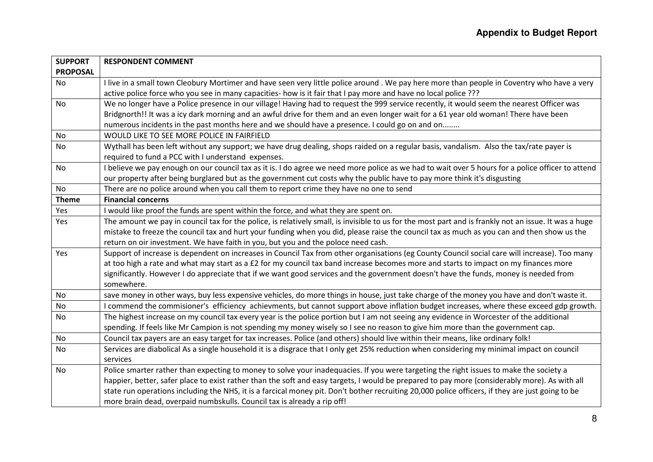| <b>SUPPORT</b>  | <b>RESPONDENT COMMENT</b>                                                                                                                             |
|-----------------|-------------------------------------------------------------------------------------------------------------------------------------------------------|
| <b>PROPOSAL</b> |                                                                                                                                                       |
| No              | I live in a small town Cleobury Mortimer and have seen very little police around. We pay here more than people in Coventry who have a very            |
|                 | active police force who you see in many capacities- how is it fair that I pay more and have no local police ???                                       |
| No              | We no longer have a Police presence in our village! Having had to request the 999 service recently, it would seem the nearest Officer was             |
|                 | Bridgnorth!! It was a icy dark morning and an awful drive for them and an even longer wait for a 61 year old woman! There have been                   |
|                 | numerous incidents in the past months here and we should have a presence. I could go on and on                                                        |
| No              | WOULD LIKE TO SEE MORE POLICE IN FAIRFIELD                                                                                                            |
| No              | Wythall has been left without any support; we have drug dealing, shops raided on a regular basis, vandalism. Also the tax/rate payer is               |
|                 | required to fund a PCC with I understand expenses.                                                                                                    |
| <b>No</b>       | I believe we pay enough on our council tax as it is. I do agree we need more police as we had to wait over 5 hours for a police officer to attend     |
|                 | our property after being burglared but as the government cut costs why the public have to pay more think it's disgusting                              |
| No              | There are no police around when you call them to report crime they have no one to send                                                                |
| <b>Theme</b>    | <b>Financial concerns</b>                                                                                                                             |
| Yes             | I would like proof the funds are spent within the force, and what they are spent on.                                                                  |
| Yes             | The amount we pay in council tax for the police, is relatively small, is invisible to us for the most part and is frankly not an issue. It was a huge |
|                 | mistake to freeze the council tax and hurt your funding when you did, please raise the council tax as much as you can and then show us the            |
|                 | return on oir investment. We have faith in you, but you and the poloce need cash.                                                                     |
| Yes             | Support of increase is dependent on increases in Council Tax from other organisations (eg County Council social care will increase). Too many         |
|                 | at too high a rate and what may start as a £2 for my council tax band increase becomes more and starts to impact on my finances more                  |
|                 | significantly. However I do appreciate that if we want good services and the government doesn't have the funds, money is needed from                  |
|                 | somewhere.                                                                                                                                            |
| No              | save money in other ways, buy less expensive vehicles, do more things in house, just take charge of the money you have and don't waste it.            |
| No              | I commend the commisioner's efficiency achievments, but cannot support above inflation budget increases, where these exceed gdp growth.               |
| <b>No</b>       | The highest increase on my council tax every year is the police portion but I am not seeing any evidence in Worcester of the additional               |
|                 | spending. If feels like Mr Campion is not spending my money wisely so I see no reason to give him more than the government cap.                       |
| No              | Council tax payers are an easy target for tax increases. Police (and others) should live within their means, like ordinary folk!                      |
| No              | Services are diabolical As a single household it is a disgrace that I only get 25% reduction when considering my minimal impact on council            |
|                 | services                                                                                                                                              |
| No              | Police smarter rather than expecting to money to solve your inadequacies. If you were targeting the right issues to make the society a                |
|                 | happier, better, safer place to exist rather than the soft and easy targets, I would be prepared to pay more (considerably more). As with all         |
|                 | state run operations including the NHS, it is a farcical money pit. Don't bother recruiting 20,000 police officers, if they are just going to be      |
|                 | more brain dead, overpaid numbskulls. Council tax is already a rip off!                                                                               |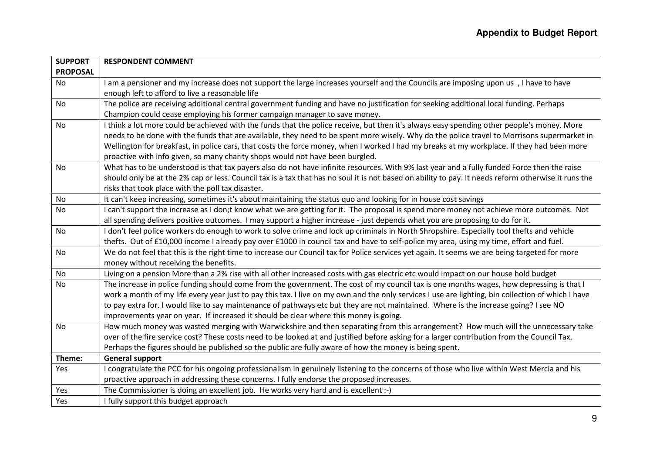| <b>SUPPORT</b>  | <b>RESPONDENT COMMENT</b>                                                                                                                            |
|-----------------|------------------------------------------------------------------------------------------------------------------------------------------------------|
| <b>PROPOSAL</b> |                                                                                                                                                      |
| <b>No</b>       | I am a pensioner and my increase does not support the large increases yourself and the Councils are imposing upon us, I have to have                 |
|                 | enough left to afford to live a reasonable life                                                                                                      |
| No              | The police are receiving additional central government funding and have no justification for seeking additional local funding. Perhaps               |
|                 | Champion could cease employing his former campaign manager to save money.                                                                            |
| No              | I think a lot more could be achieved with the funds that the police receive, but then it's always easy spending other people's money. More           |
|                 | needs to be done with the funds that are available, they need to be spent more wisely. Why do the police travel to Morrisons supermarket in          |
|                 | Wellington for breakfast, in police cars, that costs the force money, when I worked I had my breaks at my workplace. If they had been more           |
|                 | proactive with info given, so many charity shops would not have been burgled.                                                                        |
| <b>No</b>       | What has to be understood is that tax payers also do not have infinite resources. With 9% last year and a fully funded Force then the raise          |
|                 | should only be at the 2% cap or less. Council tax is a tax that has no soul it is not based on ability to pay. It needs reform otherwise it runs the |
|                 | risks that took place with the poll tax disaster.                                                                                                    |
| No              | It can't keep increasing, sometimes it's about maintaining the status quo and looking for in house cost savings                                      |
| No              | I can't support the increase as I don;t know what we are getting for it. The proposal is spend more money not achieve more outcomes. Not             |
|                 | all spending delivers positive outcomes. I may support a higher increase - just depends what you are proposing to do for it.                         |
| No              | I don't feel police workers do enough to work to solve crime and lock up criminals in North Shropshire. Especially tool thefts and vehicle           |
|                 | thefts. Out of £10,000 income I already pay over £1000 in council tax and have to self-police my area, using my time, effort and fuel.               |
| No              | We do not feel that this is the right time to increase our Council tax for Police services yet again. It seems we are being targeted for more        |
|                 | money without receiving the benefits.                                                                                                                |
| No              | Living on a pension More than a 2% rise with all other increased costs with gas electric etc would impact on our house hold budget                   |
| <b>No</b>       | The increase in police funding should come from the government. The cost of my council tax is one months wages, how depressing is that I             |
|                 | work a month of my life every year just to pay this tax. I live on my own and the only services I use are lighting, bin collection of which I have   |
|                 | to pay extra for. I would like to say maintenance of pathways etc but they are not maintained. Where is the increase going? I see NO                 |
|                 | improvements year on year. If increased it should be clear where this money is going.                                                                |
| No              | How much money was wasted merging with Warwickshire and then separating from this arrangement? How much will the unnecessary take                    |
|                 | over of the fire service cost? These costs need to be looked at and justified before asking for a larger contribution from the Council Tax.          |
|                 | Perhaps the figures should be published so the public are fully aware of how the money is being spent.                                               |
| Theme:          | <b>General support</b>                                                                                                                               |
| Yes             | I congratulate the PCC for his ongoing professionalism in genuinely listening to the concerns of those who live within West Mercia and his           |
|                 | proactive approach in addressing these concerns. I fully endorse the proposed increases.                                                             |
| Yes             | The Commissioner is doing an excellent job. He works very hard and is excellent :- )                                                                 |
| Yes             | I fully support this budget approach                                                                                                                 |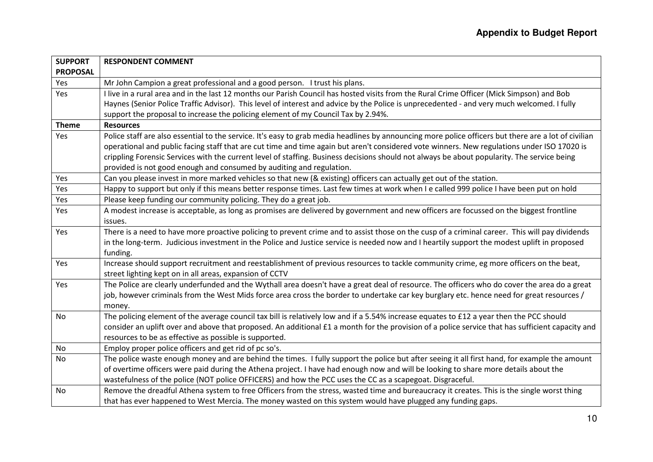| <b>SUPPORT</b>  | <b>RESPONDENT COMMENT</b>                                                                                                                            |
|-----------------|------------------------------------------------------------------------------------------------------------------------------------------------------|
| <b>PROPOSAL</b> |                                                                                                                                                      |
| Yes             | Mr John Campion a great professional and a good person. I trust his plans.                                                                           |
| Yes             | I live in a rural area and in the last 12 months our Parish Council has hosted visits from the Rural Crime Officer (Mick Simpson) and Bob            |
|                 | Haynes (Senior Police Traffic Advisor). This level of interest and advice by the Police is unprecedented - and very much welcomed. I fully           |
|                 | support the proposal to increase the policing element of my Council Tax by 2.94%.                                                                    |
| <b>Theme</b>    | <b>Resources</b>                                                                                                                                     |
| Yes             | Police staff are also essential to the service. It's easy to grab media headlines by announcing more police officers but there are a lot of civilian |
|                 | operational and public facing staff that are cut time and time again but aren't considered vote winners. New regulations under ISO 17020 is          |
|                 | crippling Forensic Services with the current level of staffing. Business decisions should not always be about popularity. The service being          |
|                 | provided is not good enough and consumed by auditing and regulation.                                                                                 |
| Yes             | Can you please invest in more marked vehicles so that new (& existing) officers can actually get out of the station.                                 |
| Yes             | Happy to support but only if this means better response times. Last few times at work when I e called 999 police I have been put on hold             |
| Yes             | Please keep funding our community policing. They do a great job.                                                                                     |
| Yes             | A modest increase is acceptable, as long as promises are delivered by government and new officers are focussed on the biggest frontline              |
|                 | issues.                                                                                                                                              |
| Yes             | There is a need to have more proactive policing to prevent crime and to assist those on the cusp of a criminal career. This will pay dividends       |
|                 | in the long-term. Judicious investment in the Police and Justice service is needed now and I heartily support the modest uplift in proposed          |
|                 | funding.                                                                                                                                             |
| Yes             | Increase should support recruitment and reestablishment of previous resources to tackle community crime, eg more officers on the beat,               |
|                 | street lighting kept on in all areas, expansion of CCTV                                                                                              |
| Yes             | The Police are clearly underfunded and the Wythall area doesn't have a great deal of resource. The officers who do cover the area do a great         |
|                 | job, however criminals from the West Mids force area cross the border to undertake car key burglary etc. hence need for great resources /            |
|                 | money.                                                                                                                                               |
| No              | The policing element of the average council tax bill is relatively low and if a 5.54% increase equates to £12 a year then the PCC should             |
|                 | consider an uplift over and above that proposed. An additional £1 a month for the provision of a police service that has sufficient capacity and     |
|                 | resources to be as effective as possible is supported.                                                                                               |
| No              | Employ proper police officers and get rid of pc so's.                                                                                                |
| <b>No</b>       | The police waste enough money and are behind the times. I fully support the police but after seeing it all first hand, for example the amount        |
|                 | of overtime officers were paid during the Athena project. I have had enough now and will be looking to share more details about the                  |
|                 | wastefulness of the police (NOT police OFFICERS) and how the PCC uses the CC as a scapegoat. Disgraceful.                                            |
| No              | Remove the dreadful Athena system to free Officers from the stress, wasted time and bureaucracy it creates. This is the single worst thing           |
|                 | that has ever happened to West Mercia. The money wasted on this system would have plugged any funding gaps.                                          |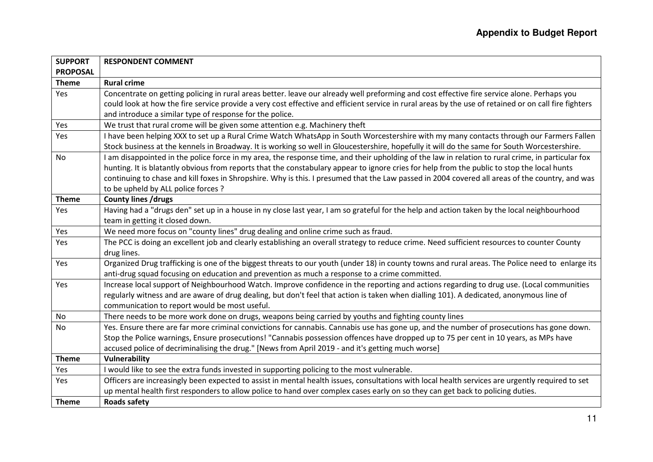| <b>SUPPORT</b>  | <b>RESPONDENT COMMENT</b>                                                                                                                             |
|-----------------|-------------------------------------------------------------------------------------------------------------------------------------------------------|
| <b>PROPOSAL</b> |                                                                                                                                                       |
| <b>Theme</b>    | <b>Rural crime</b>                                                                                                                                    |
| Yes             | Concentrate on getting policing in rural areas better. leave our already well preforming and cost effective fire service alone. Perhaps you           |
|                 | could look at how the fire service provide a very cost effective and efficient service in rural areas by the use of retained or on call fire fighters |
|                 | and introduce a similar type of response for the police.                                                                                              |
| Yes             | We trust that rural crome will be given some attention e.g. Machinery theft                                                                           |
| Yes             | I have been helping XXX to set up a Rural Crime Watch WhatsApp in South Worcestershire with my many contacts through our Farmers Fallen               |
|                 | Stock business at the kennels in Broadway. It is working so well in Gloucestershire, hopefully it will do the same for South Worcestershire.          |
| <b>No</b>       | I am disappointed in the police force in my area, the response time, and their upholding of the law in relation to rural crime, in particular fox     |
|                 | hunting. It is blatantly obvious from reports that the constabulary appear to ignore cries for help from the public to stop the local hunts           |
|                 | continuing to chase and kill foxes in Shropshire. Why is this. I presumed that the Law passed in 2004 covered all areas of the country, and was       |
|                 | to be upheld by ALL police forces ?                                                                                                                   |
| <b>Theme</b>    | <b>County lines /drugs</b>                                                                                                                            |
| Yes             | Having had a "drugs den" set up in a house in ny close last year, I am so grateful for the help and action taken by the local neighbourhood           |
|                 | team in getting it closed down.                                                                                                                       |
| Yes             | We need more focus on "county lines" drug dealing and online crime such as fraud.                                                                     |
| Yes             | The PCC is doing an excellent job and clearly establishing an overall strategy to reduce crime. Need sufficient resources to counter County           |
|                 | drug lines.                                                                                                                                           |
| Yes             | Organized Drug trafficking is one of the biggest threats to our youth (under 18) in county towns and rural areas. The Police need to enlarge its      |
|                 | anti-drug squad focusing on education and prevention as much a response to a crime committed.                                                         |
| Yes             | Increase local support of Neighbourhood Watch. Improve confidence in the reporting and actions regarding to drug use. (Local communities              |
|                 | regularly witness and are aware of drug dealing, but don't feel that action is taken when dialling 101). A dedicated, anonymous line of               |
|                 | communication to report would be most useful.                                                                                                         |
| No              | There needs to be more work done on drugs, weapons being carried by youths and fighting county lines                                                  |
| <b>No</b>       | Yes. Ensure there are far more criminal convictions for cannabis. Cannabis use has gone up, and the number of prosecutions has gone down.             |
|                 | Stop the Police warnings, Ensure prosecutions! "Cannabis possession offences have dropped up to 75 per cent in 10 years, as MPs have                  |
|                 | accused police of decriminalising the drug." [News from April 2019 - and it's getting much worse]                                                     |
| <b>Theme</b>    | Vulnerability                                                                                                                                         |
| Yes             | I would like to see the extra funds invested in supporting policing to the most vulnerable.                                                           |
| Yes             | Officers are increasingly been expected to assist in mental health issues, consultations with local health services are urgently required to set      |
|                 | up mental health first responders to allow police to hand over complex cases early on so they can get back to policing duties.                        |
| <b>Theme</b>    | Roads safety                                                                                                                                          |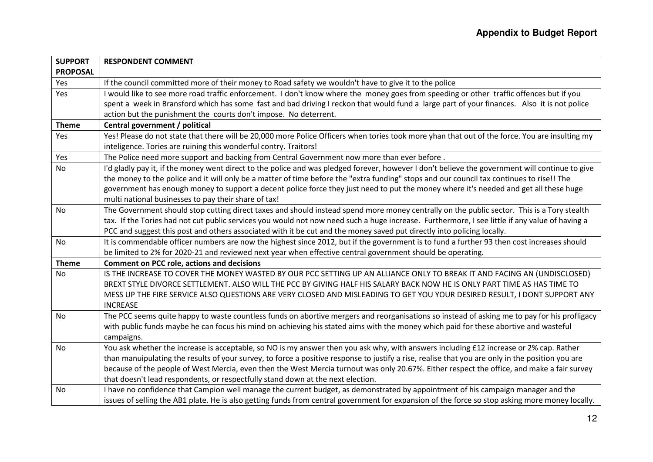| <b>SUPPORT</b>  | <b>RESPONDENT COMMENT</b>                                                                                                                        |
|-----------------|--------------------------------------------------------------------------------------------------------------------------------------------------|
| <b>PROPOSAL</b> |                                                                                                                                                  |
| Yes             | If the council committed more of their money to Road safety we wouldn't have to give it to the police                                            |
| Yes             | I would like to see more road traffic enforcement. I don't know where the money goes from speeding or other traffic offences but if you          |
|                 | spent a week in Bransford which has some fast and bad driving I reckon that would fund a large part of your finances. Also it is not police      |
|                 | action but the punishment the courts don't impose. No deterrent.                                                                                 |
| <b>Theme</b>    | Central government / political                                                                                                                   |
| Yes             | Yes! Please do not state that there will be 20,000 more Police Officers when tories took more yhan that out of the force. You are insulting my   |
|                 | inteligence. Tories are ruining this wonderful contry. Traitors!                                                                                 |
| Yes             | The Police need more support and backing from Central Government now more than ever before.                                                      |
| <b>No</b>       | I'd gladly pay it, if the money went direct to the police and was pledged forever, however I don't believe the government will continue to give  |
|                 | the money to the police and it will only be a matter of time before the "extra funding" stops and our council tax continues to rise!! The        |
|                 | government has enough money to support a decent police force they just need to put the money where it's needed and get all these huge            |
|                 | multi national businesses to pay their share of tax!                                                                                             |
| No              | The Government should stop cutting direct taxes and should instead spend more money centrally on the public sector. This is a Tory stealth       |
|                 | tax. If the Tories had not cut public services you would not now need such a huge increase. Furthermore, I see little if any value of having a   |
|                 | PCC and suggest this post and others associated with it be cut and the money saved put directly into policing locally.                           |
| No              | It is commendable officer numbers are now the highest since 2012, but if the government is to fund a further 93 then cost increases should       |
|                 | be limited to 2% for 2020-21 and reviewed next year when effective central government should be operating.                                       |
| <b>Theme</b>    | <b>Comment on PCC role, actions and decisions</b>                                                                                                |
| <b>No</b>       | IS THE INCREASE TO COVER THE MONEY WASTED BY OUR PCC SETTING UP AN ALLIANCE ONLY TO BREAK IT AND FACING AN (UNDISCLOSED)                         |
|                 | BREXT STYLE DIVORCE SETTLEMENT. ALSO WILL THE PCC BY GIVING HALF HIS SALARY BACK NOW HE IS ONLY PART TIME AS HAS TIME TO                         |
|                 | MESS UP THE FIRE SERVICE ALSO QUESTIONS ARE VERY CLOSED AND MISLEADING TO GET YOU YOUR DESIRED RESULT, I DONT SUPPORT ANY                        |
|                 | <b>INCREASE</b>                                                                                                                                  |
| No              | The PCC seems quite happy to waste countless funds on abortive mergers and reorganisations so instead of asking me to pay for his profligacy     |
|                 | with public funds maybe he can focus his mind on achieving his stated aims with the money which paid for these abortive and wasteful             |
|                 | campaigns.                                                                                                                                       |
| <b>No</b>       | You ask whether the increase is acceptable, so NO is my answer then you ask why, with answers including £12 increase or 2% cap. Rather           |
|                 | than manuipulating the results of your survey, to force a positive response to justify a rise, realise that you are only in the position you are |
|                 | because of the people of West Mercia, even then the West Mercia turnout was only 20.67%. Either respect the office, and make a fair survey       |
|                 | that doesn't lead respondents, or respectfully stand down at the next election.                                                                  |
| No              | I have no confidence that Campion well manage the current budget, as demonstrated by appointment of his campaign manager and the                 |
|                 | issues of selling the AB1 plate. He is also getting funds from central government for expansion of the force so stop asking more money locally.  |